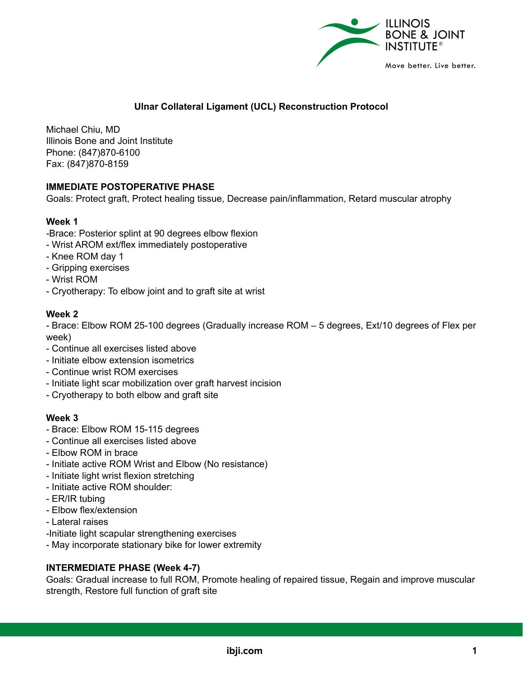

# **Ulnar Collateral Ligament (UCL) Reconstruction Protocol**

Michael Chiu, MD Illinois Bone and Joint Institute Phone: (847)870-6100 Fax: (847)870-8159

## **IMMEDIATE POSTOPERATIVE PHASE**

Goals: Protect graft, Protect healing tissue, Decrease pain/inflammation, Retard muscular atrophy

## **Week 1**

- -Brace: Posterior splint at 90 degrees elbow flexion
- Wrist AROM ext/flex immediately postoperative
- Knee ROM day 1
- Gripping exercises
- Wrist ROM
- Cryotherapy: To elbow joint and to graft site at wrist

#### **Week 2**

- Brace: Elbow ROM 25-100 degrees (Gradually increase ROM – 5 degrees, Ext/10 degrees of Flex per week)

- Continue all exercises listed above
- Initiate elbow extension isometrics
- Continue wrist ROM exercises
- Initiate light scar mobilization over graft harvest incision
- Cryotherapy to both elbow and graft site

## **Week 3**

- Brace: Elbow ROM 15-115 degrees
- Continue all exercises listed above
- Elbow ROM in brace
- Initiate active ROM Wrist and Elbow (No resistance)
- Initiate light wrist flexion stretching
- Initiate active ROM shoulder:
- ER/IR tubing
- Elbow flex/extension
- Lateral raises
- -Initiate light scapular strengthening exercises
- May incorporate stationary bike for lower extremity

## **INTERMEDIATE PHASE (Week 4-7)**

Goals: Gradual increase to full ROM, Promote healing of repaired tissue, Regain and improve muscular strength, Restore full function of graft site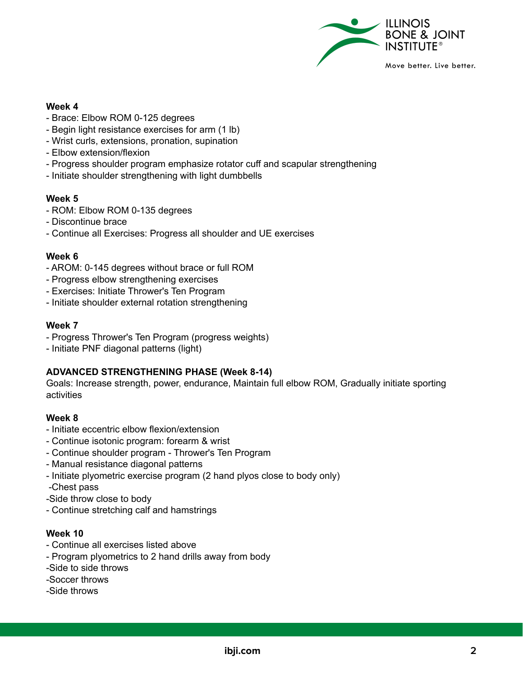

#### **Week 4**

- Brace: Elbow ROM 0-125 degrees
- Begin light resistance exercises for arm (1 lb)
- Wrist curls, extensions, pronation, supination
- Elbow extension/flexion
- Progress shoulder program emphasize rotator cuff and scapular strengthening
- Initiate shoulder strengthening with light dumbbells

#### **Week 5**

- ROM: Elbow ROM 0-135 degrees
- Discontinue brace
- Continue all Exercises: Progress all shoulder and UE exercises

#### **Week 6**

- AROM: 0-145 degrees without brace or full ROM
- Progress elbow strengthening exercises
- Exercises: Initiate Thrower's Ten Program
- Initiate shoulder external rotation strengthening

#### **Week 7**

- Progress Thrower's Ten Program (progress weights)
- Initiate PNF diagonal patterns (light)

## **ADVANCED STRENGTHENING PHASE (Week 8-14)**

Goals: Increase strength, power, endurance, Maintain full elbow ROM, Gradually initiate sporting activities

## **Week 8**

- Initiate eccentric elbow flexion/extension
- Continue isotonic program: forearm & wrist
- Continue shoulder program Thrower's Ten Program
- Manual resistance diagonal patterns
- Initiate plyometric exercise program (2 hand plyos close to body only)
- -Chest pass
- -Side throw close to body
- Continue stretching calf and hamstrings

#### **Week 10**

- Continue all exercises listed above
- Program plyometrics to 2 hand drills away from body
- -Side to side throws
- -Soccer throws
- -Side throws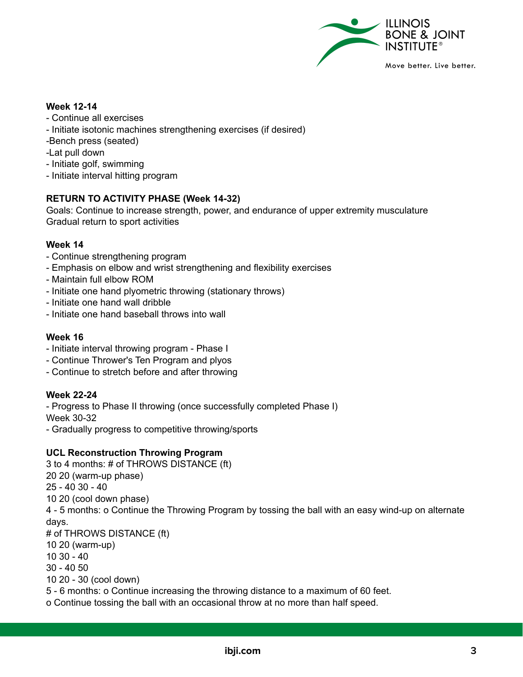

#### **Week 12-14**

- Continue all exercises
- Initiate isotonic machines strengthening exercises (if desired)
- -Bench press (seated)
- -Lat pull down
- Initiate golf, swimming
- Initiate interval hitting program

## **RETURN TO ACTIVITY PHASE (Week 14-32)**

Goals: Continue to increase strength, power, and endurance of upper extremity musculature Gradual return to sport activities

#### **Week 14**

- Continue strengthening program
- Emphasis on elbow and wrist strengthening and flexibility exercises
- Maintain full elbow ROM
- Initiate one hand plyometric throwing (stationary throws)
- Initiate one hand wall dribble
- Initiate one hand baseball throws into wall

#### **Week 16**

- Initiate interval throwing program Phase I
- Continue Thrower's Ten Program and plyos
- Continue to stretch before and after throwing

#### **Week 22-24**

- Progress to Phase II throwing (once successfully completed Phase I) Week 30-32

- Gradually progress to competitive throwing/sports

## **UCL Reconstruction Throwing Program**

 to 4 months: # of THROWS DISTANCE (ft) 20 (warm-up phase) - 40 30 - 40 20 (cool down phase) - 5 months: o Continue the Throwing Program by tossing the ball with an easy wind-up on alternate days. # of THROWS DISTANCE (ft) 20 (warm-up) 10 30 - 40 30 - 40 50 20 - 30 (cool down) - 6 months: o Continue increasing the throwing distance to a maximum of 60 feet. o Continue tossing the ball with an occasional throw at no more than half speed.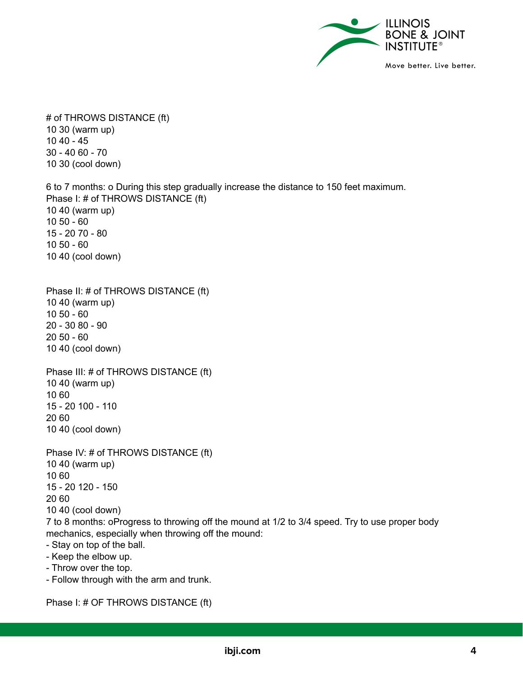

# of THROWS DISTANCE (ft) 30 (warm up) 40 - 45 - 40 60 - 70 30 (cool down)

 to 7 months: o During this step gradually increase the distance to 150 feet maximum. Phase I: # of THROWS DISTANCE (ft) 40 (warm up) 50 - 60 - 20 70 - 80 50 - 60 40 (cool down)

Phase II: # of THROWS DISTANCE (ft) 40 (warm up) 50 - 60 - 30 80 - 90 50 - 60 40 (cool down)

Phase III: # of THROWS DISTANCE (ft) 40 (warm up) 60 - 20 100 - 110 60 40 (cool down)

Phase IV: # of THROWS DISTANCE (ft) 40 (warm up) 60 - 20 120 - 150 60 40 (cool down) to 8 months: oProgress to throwing off the mound at 1/2 to 3/4 speed. Try to use proper body mechanics, especially when throwing off the mound: - Stay on top of the ball. - Keep the elbow up. - Throw over the top.

- Follow through with the arm and trunk.

Phase I: # OF THROWS DISTANCE (ft)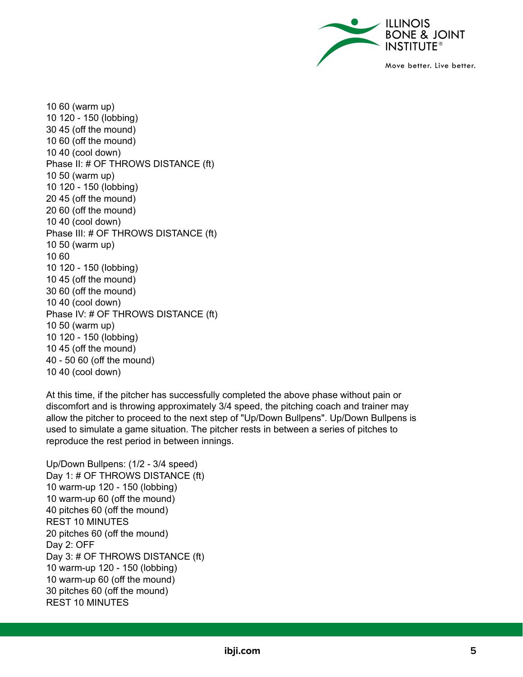

 60 (warm up) 120 - 150 (lobbing) 45 (off the mound) 60 (off the mound) 40 (cool down) Phase II: # OF THROWS DISTANCE (ft) 50 (warm up) 120 - 150 (lobbing) 45 (off the mound) 60 (off the mound) 40 (cool down) Phase III: # OF THROWS DISTANCE (ft) 50 (warm up) 60 120 - 150 (lobbing) 45 (off the mound) 60 (off the mound) 40 (cool down) Phase IV: # OF THROWS DISTANCE (ft) 50 (warm up) 120 - 150 (lobbing) 45 (off the mound) - 50 60 (off the mound) 40 (cool down)

At this time, if the pitcher has successfully completed the above phase without pain or discomfort and is throwing approximately 3/4 speed, the pitching coach and trainer may allow the pitcher to proceed to the next step of "Up/Down Bullpens". Up/Down Bullpens is used to simulate a game situation. The pitcher rests in between a series of pitches to reproduce the rest period in between innings.

Up/Down Bullpens: (1/2 - 3/4 speed) Day 1: # OF THROWS DISTANCE (ft) warm-up 120 - 150 (lobbing) warm-up 60 (off the mound) pitches 60 (off the mound) REST 10 MINUTES pitches 60 (off the mound) Day 2: OFF Day 3: # OF THROWS DISTANCE (ft) warm-up 120 - 150 (lobbing) warm-up 60 (off the mound) pitches 60 (off the mound) REST 10 MINUTES